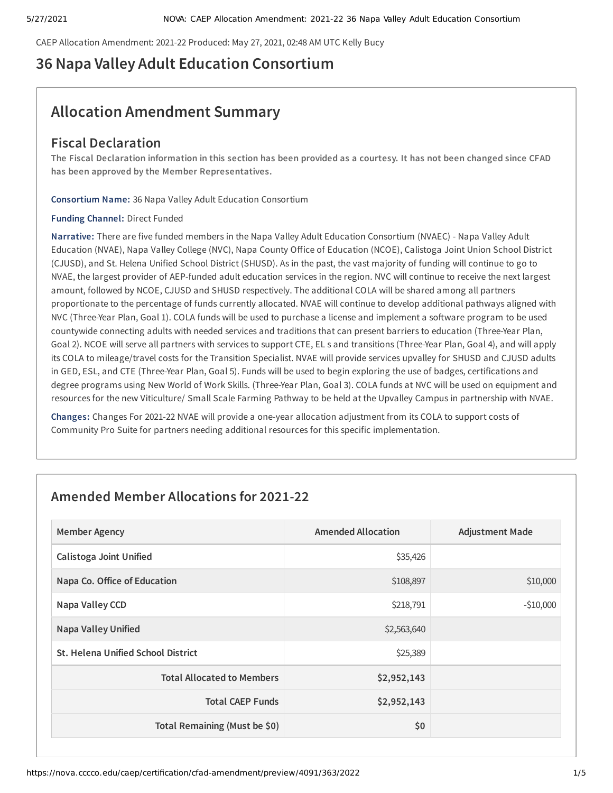CAEP Allocation Amendment: 2021-22 Produced: May 27, 2021, 02:48 AM UTC Kelly Bucy

# **36 Napa Valley Adult Education Consortium**

# **Allocation Amendment Summary**

# **Fiscal Declaration**

The Fiscal Declaration information in this section has been provided as a courtesy. It has not been changed since CFAD **has been approved by the Member Representatives.**

**Consortium Name:** 36 Napa Valley Adult Education Consortium

### **Funding Channel:** Direct Funded

**Narrative:** There are five funded members in the Napa Valley Adult Education Consortium (NVAEC) - Napa Valley Adult Education (NVAE), Napa Valley College (NVC), Napa County Office of Education (NCOE), Calistoga Joint Union School District (CJUSD), and St. Helena Unified School District (SHUSD). As in the past, the vast majority of funding will continue to go to NVAE, the largest provider of AEP-funded adult education services in the region. NVC will continue to receive the next largest amount, followed by NCOE, CJUSD and SHUSD respectively. The additional COLA will be shared among all partners proportionate to the percentage of funds currently allocated. NVAE will continue to develop additional pathways aligned with NVC (Three-Year Plan, Goal 1). COLA funds will be used to purchase a license and implement a software program to be used countywide connecting adults with needed services and traditions that can present barriers to education (Three-Year Plan, Goal 2). NCOE will serve all partners with services to support CTE, EL s and transitions (Three-Year Plan, Goal 4), and will apply its COLA to mileage/travel costs for the Transition Specialist. NVAE will provide services upvalley for SHUSD and CJUSD adults in GED, ESL, and CTE (Three-Year Plan, Goal 5). Funds will be used to begin exploring the use of badges, certifications and degree programs using New World of Work Skills. (Three-Year Plan, Goal 3). COLA funds at NVC will be used on equipment and resources for the new Viticulture/ Small Scale Farming Pathway to be held at the Upvalley Campus in partnership with NVAE.

**Changes:** Changes For 2021-22 NVAE will provide a one-year allocation adjustment from its COLA to support costs of Community Pro Suite for partners needing additional resources for this specific implementation.

# **Amended Member Allocations for 2021-22**

| <b>Member Agency</b>                      | <b>Amended Allocation</b> | <b>Adjustment Made</b> |
|-------------------------------------------|---------------------------|------------------------|
| <b>Calistoga Joint Unified</b>            | \$35,426                  |                        |
| Napa Co. Office of Education              | \$108,897                 | \$10,000               |
| Napa Valley CCD                           | \$218,791                 | $-$10,000$             |
| <b>Napa Valley Unified</b>                | \$2,563,640               |                        |
| <b>St. Helena Unified School District</b> | \$25,389                  |                        |
| <b>Total Allocated to Members</b>         | \$2,952,143               |                        |
| <b>Total CAEP Funds</b>                   | \$2,952,143               |                        |
| Total Remaining (Must be \$0)             | \$0                       |                        |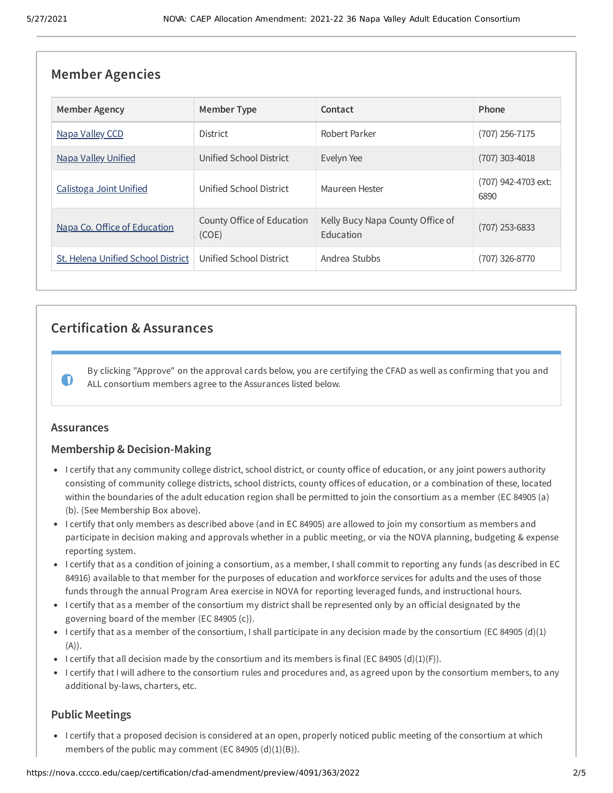| <b>Member Agencies</b>             |                                     |                                               |                             |  |
|------------------------------------|-------------------------------------|-----------------------------------------------|-----------------------------|--|
| <b>Member Agency</b>               | <b>Member Type</b>                  | Contact                                       | Phone                       |  |
| Napa Valley CCD                    | <b>District</b>                     | Robert Parker                                 | $(707)$ 256-7175            |  |
| <b>Napa Valley Unified</b>         | Unified School District             | Evelyn Yee                                    | (707) 303-4018              |  |
| Calistoga Joint Unified            | Unified School District             | Maureen Hester                                | (707) 942-4703 ext:<br>6890 |  |
| Napa Co. Office of Education       | County Office of Education<br>(COE) | Kelly Bucy Napa County Office of<br>Education | (707) 253-6833              |  |
| St. Helena Unified School District | Unified School District             | Andrea Stubbs                                 | (707) 326-8770              |  |

# **Certification & Assurances**

By clicking "Approve" on the approval cards below, you are certifying the CFAD as well as confirming that you and ALL consortium members agree to the Assurances listed below.

### **Assurances**

 $\bullet$ 

# **Membership & Decision-Making**

- I certify that any community college district, school district, or county office of education, or any joint powers authority consisting of community college districts, school districts, county offices of education, or a combination of these, located within the boundaries of the adult education region shall be permitted to join the consortium as a member (EC 84905 (a) (b). (See Membership Box above).
- I certify that only members as described above (and in EC 84905) are allowed to join my consortium as members and participate in decision making and approvals whether in a public meeting, or via the NOVA planning, budgeting & expense reporting system.
- I certify that as a condition of joining a consortium, as a member, I shall commit to reporting any funds (as described in EC 84916) available to that member for the purposes of education and workforce services for adults and the uses of those funds through the annual Program Area exercise in NOVA for reporting leveraged funds, and instructional hours.
- I certify that as a member of the consortium my district shall be represented only by an official designated by the governing board of the member (EC 84905 (c)).
- I certify that as a member of the consortium, I shall participate in any decision made by the consortium (EC 84905 (d)(1) (A)).
- I certify that all decision made by the consortium and its members is final (EC 84905 (d)(1)(F)).
- I certify that I will adhere to the consortium rules and procedures and, as agreed upon by the consortium members, to any additional by-laws, charters, etc.

# **Public Meetings**

I certify that a proposed decision is considered at an open, properly noticed public meeting of the consortium at which members of the public may comment (EC 84905  $(d)(1)(B)$ ).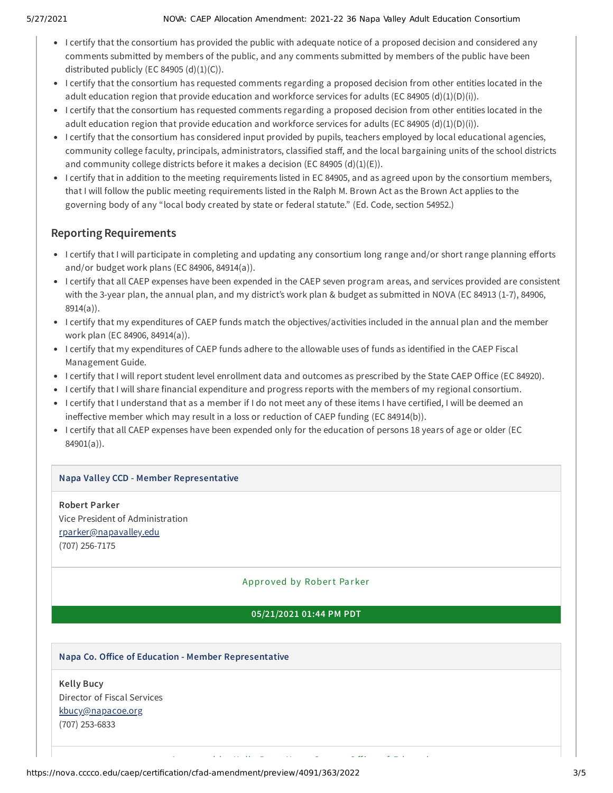- I certify that the consortium has provided the public with adequate notice of a proposed decision and considered any comments submitted by members of the public, and any comments submitted by members of the public have been distributed publicly (EC 84905  $(d)(1)(C)$ ).
- I certify that the consortium has requested comments regarding a proposed decision from other entities located in the adult education region that provide education and workforce services for adults (EC 84905 (d)(1)(D)(i)).
- I certify that the consortium has requested comments regarding a proposed decision from other entities located in the adult education region that provide education and workforce services for adults (EC 84905 (d)(1)(D)(i)).
- I certify that the consortium has considered input provided by pupils, teachers employed by local educational agencies, community college faculty, principals, administrators, classified staff, and the local bargaining units of the school districts and community college districts before it makes a decision (EC 84905 (d)(1)(E)).
- I certify that in addition to the meeting requirements listed in EC 84905, and as agreed upon by the consortium members, that I will follow the public meeting requirements listed in the Ralph M. Brown Act as the Brown Act applies to the governing body of any "local body created by state or federal statute." (Ed. Code, section 54952.)

# **Reporting Requirements**

- I certify that I will participate in completing and updating any consortium long range and/or short range planning efforts and/or budget work plans (EC 84906, 84914(a)).
- I certify that all CAEP expenses have been expended in the CAEP seven program areas, and services provided are consistent with the 3-year plan, the annual plan, and my district's work plan & budget as submitted in NOVA (EC 84913 (1-7), 84906, 8914(a)).
- I certify that my expenditures of CAEP funds match the objectives/activities included in the annual plan and the member work plan (EC 84906, 84914(a)).
- I certify that my expenditures of CAEP funds adhere to the allowable uses of funds as identified in the CAEP Fiscal Management Guide.
- I certify that I will report student level enrollment data and outcomes as prescribed by the State CAEP Office (EC 84920).
- I certify that I will share financial expenditure and progress reports with the members of my regional consortium.
- I certify that I understand that as a member if I do not meet any of these items I have certified, I will be deemed an ineffective member which may result in a loss or reduction of CAEP funding (EC 84914(b)).
- I certify that all CAEP expenses have been expended only for the education of persons 18 years of age or older (EC 84901(a)).

# **Napa Valley CCD - Member Representative**

**Robert Parker** Vice President of Administration [rparker@napavalley.edu](mailto:rparker@napavalley.edu) (707) 256-7175

# Approved by Robert Parker

# **05/21/2021 01:44 PM PDT**

A d'an d'an de la Brasilia de la Brasilia de la Brasilia de la Brasilia de la Brasilia de la Brasilia de la Br<br>Altres

### **Napa Co. Oice of Education - Member Representative**

**Kelly Bucy** Director of Fiscal Services [kbucy@napacoe.org](mailto:kbucy@napacoe.org) (707) 253-6833